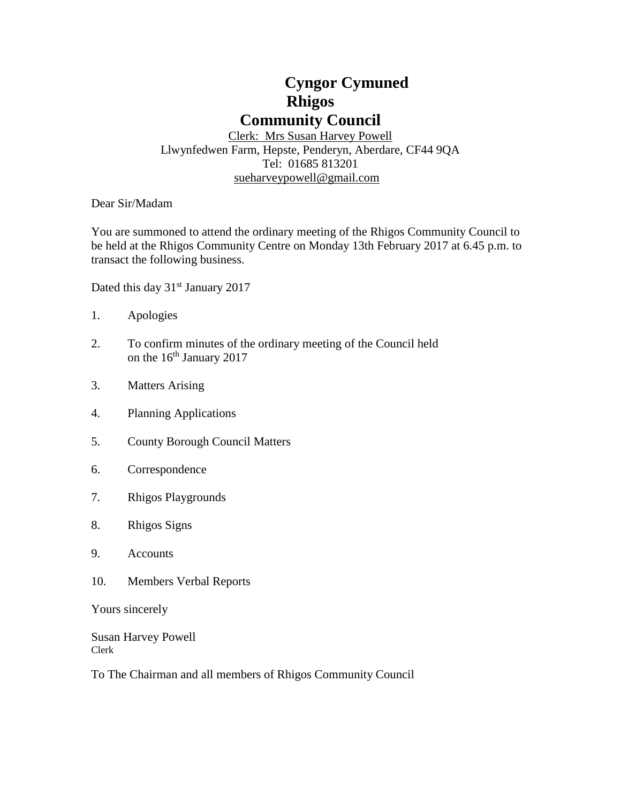# **Cyngor Cymuned Rhigos Community Council**

Clerk: Mrs Susan Harvey Powell Llwynfedwen Farm, Hepste, Penderyn, Aberdare, CF44 9QA Tel: 01685 813201 [sueharveypowell@g](mailto:sharveypowell@comin-infants.co.uk)mail.com

Dear Sir/Madam

You are summoned to attend the ordinary meeting of the Rhigos Community Council to be held at the Rhigos Community Centre on Monday 13th February 2017 at 6.45 p.m. to transact the following business.

Dated this day 31<sup>st</sup> January 2017

- 1. Apologies
- 2. To confirm minutes of the ordinary meeting of the Council held on the 16<sup>th</sup> January 2017
- 3. Matters Arising
- 4. Planning Applications
- 5. County Borough Council Matters
- 6. Correspondence
- 7. Rhigos Playgrounds
- 8. Rhigos Signs
- 9. Accounts
- 10. Members Verbal Reports

Yours sincerely

Susan Harvey Powell Clerk

To The Chairman and all members of Rhigos Community Council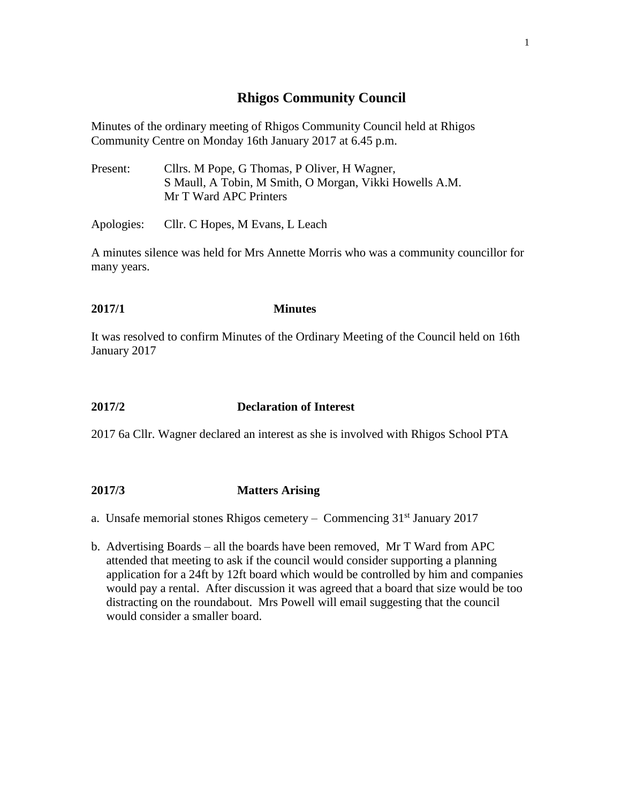# **Rhigos Community Council**

Minutes of the ordinary meeting of Rhigos Community Council held at Rhigos Community Centre on Monday 16th January 2017 at 6.45 p.m.

Present: Cllrs. M Pope, G Thomas, P Oliver, H Wagner, S Maull, A Tobin, M Smith, O Morgan, Vikki Howells A.M. Mr T Ward APC Printers

Apologies: Cllr. C Hopes, M Evans, L Leach

A minutes silence was held for Mrs Annette Morris who was a community councillor for many years.

#### **2017/1 Minutes**

It was resolved to confirm Minutes of the Ordinary Meeting of the Council held on 16th January 2017

#### **2017/2 Declaration of Interest**

2017 6a Cllr. Wagner declared an interest as she is involved with Rhigos School PTA

#### **2017/3 Matters Arising**

- a. Unsafe memorial stones Rhigos cemetery Commencing  $31<sup>st</sup>$  January 2017
- b. Advertising Boards all the boards have been removed, Mr T Ward from APC attended that meeting to ask if the council would consider supporting a planning application for a 24ft by 12ft board which would be controlled by him and companies would pay a rental. After discussion it was agreed that a board that size would be too distracting on the roundabout. Mrs Powell will email suggesting that the council would consider a smaller board.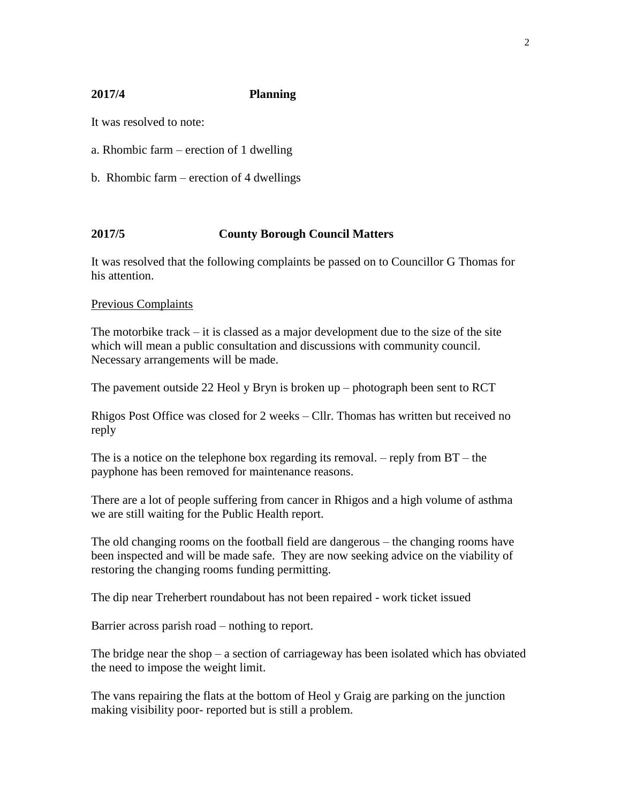# 2

# **2017/4 Planning**

It was resolved to note:

- a. Rhombic farm erection of 1 dwelling
- b. Rhombic farm erection of 4 dwellings

# **2017/5 County Borough Council Matters**

It was resolved that the following complaints be passed on to Councillor G Thomas for his attention.

#### Previous Complaints

The motorbike track  $-\mathbf{i}$  is classed as a major development due to the size of the site which will mean a public consultation and discussions with community council. Necessary arrangements will be made.

The pavement outside 22 Heol y Bryn is broken up – photograph been sent to RCT

Rhigos Post Office was closed for 2 weeks – Cllr. Thomas has written but received no reply

The is a notice on the telephone box regarding its removal. – reply from  $BT -$  the payphone has been removed for maintenance reasons.

There are a lot of people suffering from cancer in Rhigos and a high volume of asthma we are still waiting for the Public Health report.

The old changing rooms on the football field are dangerous – the changing rooms have been inspected and will be made safe. They are now seeking advice on the viability of restoring the changing rooms funding permitting.

The dip near Treherbert roundabout has not been repaired - work ticket issued

Barrier across parish road – nothing to report.

The bridge near the shop – a section of carriageway has been isolated which has obviated the need to impose the weight limit.

The vans repairing the flats at the bottom of Heol y Graig are parking on the junction making visibility poor- reported but is still a problem.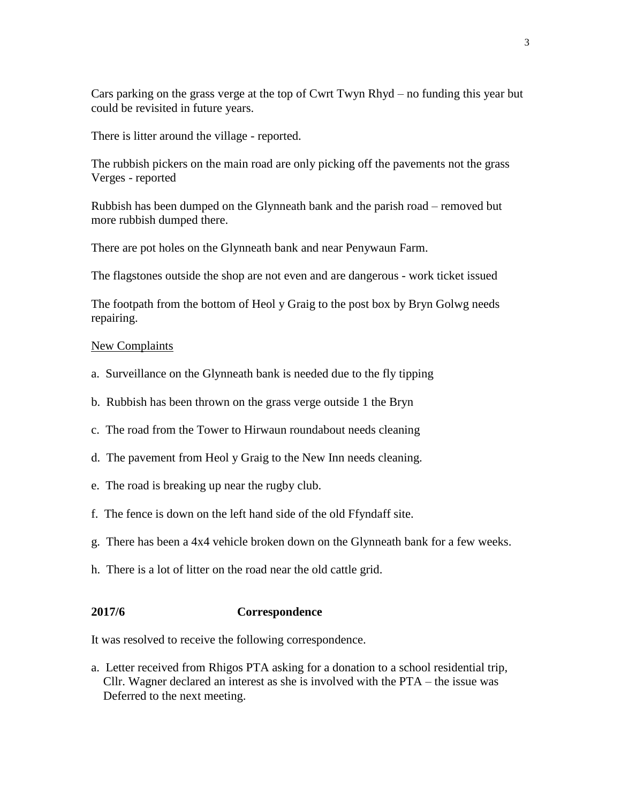Cars parking on the grass verge at the top of Cwrt Twyn Rhyd – no funding this year but could be revisited in future years.

There is litter around the village - reported.

The rubbish pickers on the main road are only picking off the pavements not the grass Verges - reported

Rubbish has been dumped on the Glynneath bank and the parish road – removed but more rubbish dumped there.

There are pot holes on the Glynneath bank and near Penywaun Farm.

The flagstones outside the shop are not even and are dangerous - work ticket issued

The footpath from the bottom of Heol y Graig to the post box by Bryn Golwg needs repairing.

#### New Complaints

- a. Surveillance on the Glynneath bank is needed due to the fly tipping
- b. Rubbish has been thrown on the grass verge outside 1 the Bryn
- c. The road from the Tower to Hirwaun roundabout needs cleaning
- d. The pavement from Heol y Graig to the New Inn needs cleaning.
- e. The road is breaking up near the rugby club.
- f. The fence is down on the left hand side of the old Ffyndaff site.
- g. There has been a 4x4 vehicle broken down on the Glynneath bank for a few weeks.
- h. There is a lot of litter on the road near the old cattle grid.

#### **2017/6 Correspondence**

It was resolved to receive the following correspondence.

a. Letter received from Rhigos PTA asking for a donation to a school residential trip, Cllr. Wagner declared an interest as she is involved with the PTA – the issue was Deferred to the next meeting.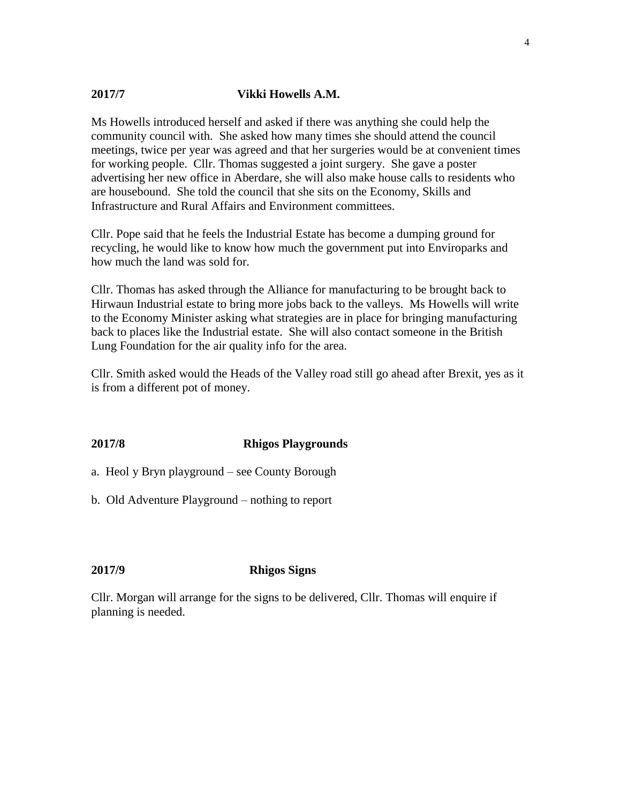# **2017/7 Vikki Howells A.M.**

Ms Howells introduced herself and asked if there was anything she could help the community council with. She asked how many times she should attend the council meetings, twice per year was agreed and that her surgeries would be at convenient times for working people. Cllr. Thomas suggested a joint surgery. She gave a poster advertising her new office in Aberdare, she will also make house calls to residents who are housebound. She told the council that she sits on the Economy, Skills and Infrastructure and Rural Affairs and Environment committees.

Cllr. Pope said that he feels the Industrial Estate has become a dumping ground for recycling, he would like to know how much the government put into Enviroparks and how much the land was sold for.

Cllr. Thomas has asked through the Alliance for manufacturing to be brought back to Hirwaun Industrial estate to bring more jobs back to the valleys. Ms Howells will write to the Economy Minister asking what strategies are in place for bringing manufacturing back to places like the Industrial estate. She will also contact someone in the British Lung Foundation for the air quality info for the area.

Cllr. Smith asked would the Heads of the Valley road still go ahead after Brexit, yes as it is from a different pot of money.

#### **2017/8 Rhigos Playgrounds**

a. Heol y Bryn playground – see County Borough

b. Old Adventure Playground – nothing to report

#### **2017/9 Rhigos Signs**

Cllr. Morgan will arrange for the signs to be delivered, Cllr. Thomas will enquire if planning is needed.